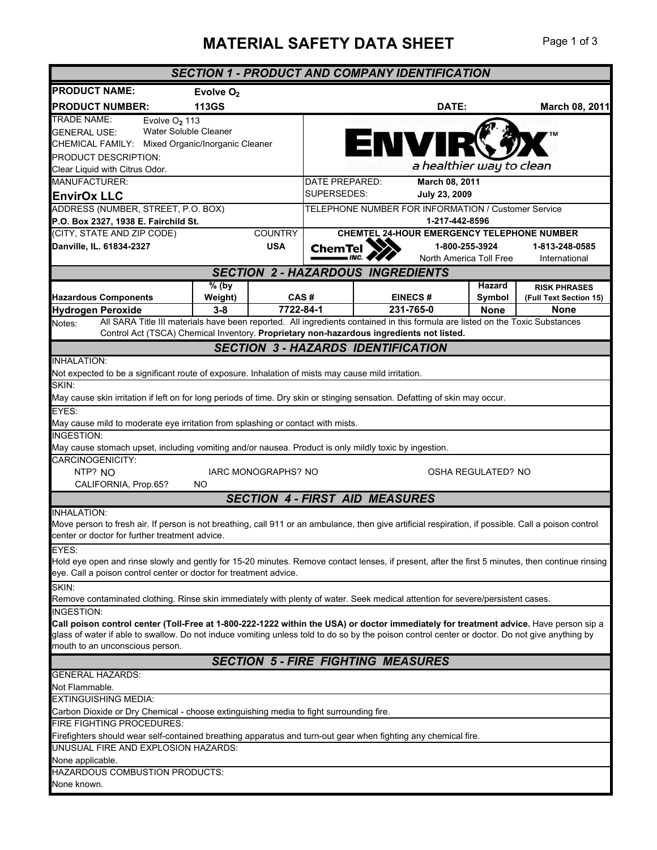## **MATERIAL SAFETY DATA SHEET** Page 1 of 3

|                                                                                                                                                                                                                                                                                         |                                    |                         |                                                   | <b>SECTION 1 - PRODUCT AND COMPANY IDENTIFICATION</b> |                         |                          |                        |  |
|-----------------------------------------------------------------------------------------------------------------------------------------------------------------------------------------------------------------------------------------------------------------------------------------|------------------------------------|-------------------------|---------------------------------------------------|-------------------------------------------------------|-------------------------|--------------------------|------------------------|--|
| <b>PRODUCT NAME:</b>                                                                                                                                                                                                                                                                    | Evolve $O2$                        |                         |                                                   |                                                       |                         |                          |                        |  |
| <b>PRODUCT NUMBER:</b>                                                                                                                                                                                                                                                                  | <b>113GS</b>                       |                         |                                                   |                                                       | DATE:                   |                          | March 08, 2011         |  |
| <b>TRADE NAME:</b><br>Evolve O <sub>2</sub> 113                                                                                                                                                                                                                                         |                                    |                         |                                                   |                                                       |                         |                          |                        |  |
| Water Soluble Cleaner<br><b>GENERAL USE:</b>                                                                                                                                                                                                                                            |                                    |                         |                                                   |                                                       |                         |                          |                        |  |
| CHEMICAL FAMILY:                                                                                                                                                                                                                                                                        | Mixed Organic/Inorganic Cleaner    |                         |                                                   | ENVIR                                                 |                         |                          |                        |  |
| <b>PRODUCT DESCRIPTION:</b>                                                                                                                                                                                                                                                             |                                    |                         |                                                   |                                                       |                         |                          |                        |  |
| Clear Liquid with Citrus Odor.                                                                                                                                                                                                                                                          |                                    |                         |                                                   |                                                       |                         | a healthier way to clean |                        |  |
| MANUFACTURER:                                                                                                                                                                                                                                                                           |                                    |                         | DATE PREPARED:<br>March 08, 2011                  |                                                       |                         |                          |                        |  |
| <b>EnvirOx LLC</b>                                                                                                                                                                                                                                                                      |                                    |                         | SUPERSEDES:<br>July 23, 2009                      |                                                       |                         |                          |                        |  |
|                                                                                                                                                                                                                                                                                         | ADDRESS (NUMBER, STREET, P.O. BOX) |                         |                                                   | TELEPHONE NUMBER FOR INFORMATION / Customer Service   |                         |                          |                        |  |
| P.O. Box 2327, 1938 E. Fairchild St.                                                                                                                                                                                                                                                    |                                    |                         | 1-217-442-8596                                    |                                                       |                         |                          |                        |  |
| (CITY, STATE AND ZIP CODE)                                                                                                                                                                                                                                                              |                                    | <b>COUNTRY</b>          | <b>CHEMTEL 24-HOUR EMERGENCY TELEPHONE NUMBER</b> |                                                       |                         |                          |                        |  |
| Danville, IL. 61834-2327                                                                                                                                                                                                                                                                |                                    | <b>USA</b>              | ChemTel<br>1-800-255-3924                         |                                                       |                         | 1-813-248-0585           |                        |  |
|                                                                                                                                                                                                                                                                                         |                                    |                         |                                                   |                                                       | North America Toll Free |                          | International          |  |
|                                                                                                                                                                                                                                                                                         |                                    |                         |                                                   | <b>SECTION 2 - HAZARDOUS INGREDIENTS</b>              |                         |                          |                        |  |
|                                                                                                                                                                                                                                                                                         | $\sqrt[9]{6}$ (by                  |                         |                                                   |                                                       |                         | Hazard                   | <b>RISK PHRASES</b>    |  |
| <b>Hazardous Components</b>                                                                                                                                                                                                                                                             | Weight)                            |                         | CAS#                                              | <b>EINECS#</b>                                        |                         | Symbol                   | (Full Text Section 15) |  |
| <b>Hydrogen Peroxide</b><br>All SARA Title III materials have been reported. All ingredients contained in this formula are listed on the Toxic Substances                                                                                                                               | $3 - 8$                            | $\overline{77}$ 22-84-1 |                                                   | 231-765-0                                             |                         | <b>None</b>              | <b>None</b>            |  |
| Notes:<br>Control Act (TSCA) Chemical Inventory. Proprietary non-hazardous ingredients not listed.                                                                                                                                                                                      |                                    |                         |                                                   |                                                       |                         |                          |                        |  |
|                                                                                                                                                                                                                                                                                         |                                    |                         |                                                   | <b>SECTION 3 - HAZARDS IDENTIFICATION</b>             |                         |                          |                        |  |
| <b>INHALATION:</b>                                                                                                                                                                                                                                                                      |                                    |                         |                                                   |                                                       |                         |                          |                        |  |
| Not expected to be a significant route of exposure. Inhalation of mists may cause mild irritation.                                                                                                                                                                                      |                                    |                         |                                                   |                                                       |                         |                          |                        |  |
| SKIN:                                                                                                                                                                                                                                                                                   |                                    |                         |                                                   |                                                       |                         |                          |                        |  |
| May cause skin irritation if left on for long periods of time. Dry skin or stinging sensation. Defatting of skin may occur.                                                                                                                                                             |                                    |                         |                                                   |                                                       |                         |                          |                        |  |
| EYES:                                                                                                                                                                                                                                                                                   |                                    |                         |                                                   |                                                       |                         |                          |                        |  |
| May cause mild to moderate eye irritation from splashing or contact with mists.                                                                                                                                                                                                         |                                    |                         |                                                   |                                                       |                         |                          |                        |  |
| <b>INGESTION:</b>                                                                                                                                                                                                                                                                       |                                    |                         |                                                   |                                                       |                         |                          |                        |  |
| May cause stomach upset, including vomiting and/or nausea. Product is only mildly toxic by ingestion.                                                                                                                                                                                   |                                    |                         |                                                   |                                                       |                         |                          |                        |  |
| CARCINOGENICITY:                                                                                                                                                                                                                                                                        |                                    |                         |                                                   |                                                       |                         |                          |                        |  |
| NTP? NO                                                                                                                                                                                                                                                                                 |                                    | IARC MONOGRAPHS? NO     |                                                   |                                                       |                         | OSHA REGULATED? NO       |                        |  |
| CALIFORNIA, Prop.65?                                                                                                                                                                                                                                                                    | NO                                 |                         |                                                   |                                                       |                         |                          |                        |  |
|                                                                                                                                                                                                                                                                                         |                                    |                         |                                                   | <b>SECTION 4 - FIRST AID MEASURES</b>                 |                         |                          |                        |  |
| <b>INHALATION:</b>                                                                                                                                                                                                                                                                      |                                    |                         |                                                   |                                                       |                         |                          |                        |  |
| Move person to fresh air. If person is not breathing, call 911 or an ambulance, then give artificial respiration, if possible. Call a poison control                                                                                                                                    |                                    |                         |                                                   |                                                       |                         |                          |                        |  |
| center or doctor for further treatment advice.                                                                                                                                                                                                                                          |                                    |                         |                                                   |                                                       |                         |                          |                        |  |
| EYES:                                                                                                                                                                                                                                                                                   |                                    |                         |                                                   |                                                       |                         |                          |                        |  |
| Hold eye open and rinse slowly and gently for 15-20 minutes. Remove contact lenses, if present, after the first 5 minutes, then continue rinsing                                                                                                                                        |                                    |                         |                                                   |                                                       |                         |                          |                        |  |
| eye. Call a poison control center or doctor for treatment advice.                                                                                                                                                                                                                       |                                    |                         |                                                   |                                                       |                         |                          |                        |  |
| SKIN:                                                                                                                                                                                                                                                                                   |                                    |                         |                                                   |                                                       |                         |                          |                        |  |
| Remove contaminated clothing. Rinse skin immediately with plenty of water. Seek medical attention for severe/persistent cases.                                                                                                                                                          |                                    |                         |                                                   |                                                       |                         |                          |                        |  |
| INGESTION:                                                                                                                                                                                                                                                                              |                                    |                         |                                                   |                                                       |                         |                          |                        |  |
| Call poison control center (Toll-Free at 1-800-222-1222 within the USA) or doctor immediately for treatment advice. Have person sip a<br>glass of water if able to swallow. Do not induce vomiting unless told to do so by the poison control center or doctor. Do not give anything by |                                    |                         |                                                   |                                                       |                         |                          |                        |  |
| mouth to an unconscious person.                                                                                                                                                                                                                                                         |                                    |                         |                                                   |                                                       |                         |                          |                        |  |
|                                                                                                                                                                                                                                                                                         |                                    |                         |                                                   | <b>SECTION 5 - FIRE FIGHTING MEASURES</b>             |                         |                          |                        |  |
| <b>GENERAL HAZARDS:</b>                                                                                                                                                                                                                                                                 |                                    |                         |                                                   |                                                       |                         |                          |                        |  |
| Not Flammable.                                                                                                                                                                                                                                                                          |                                    |                         |                                                   |                                                       |                         |                          |                        |  |
| <b>EXTINGUISHING MEDIA:</b>                                                                                                                                                                                                                                                             |                                    |                         |                                                   |                                                       |                         |                          |                        |  |
| Carbon Dioxide or Dry Chemical - choose extinguishing media to fight surrounding fire.                                                                                                                                                                                                  |                                    |                         |                                                   |                                                       |                         |                          |                        |  |
| FIRE FIGHTING PROCEDURES:                                                                                                                                                                                                                                                               |                                    |                         |                                                   |                                                       |                         |                          |                        |  |
| Firefighters should wear self-contained breathing apparatus and turn-out gear when fighting any chemical fire.                                                                                                                                                                          |                                    |                         |                                                   |                                                       |                         |                          |                        |  |
| UNUSUAL FIRE AND EXPLOSION HAZARDS:                                                                                                                                                                                                                                                     |                                    |                         |                                                   |                                                       |                         |                          |                        |  |
| None applicable.                                                                                                                                                                                                                                                                        |                                    |                         |                                                   |                                                       |                         |                          |                        |  |
| HAZARDOUS COMBUSTION PRODUCTS:                                                                                                                                                                                                                                                          |                                    |                         |                                                   |                                                       |                         |                          |                        |  |
| None known.                                                                                                                                                                                                                                                                             |                                    |                         |                                                   |                                                       |                         |                          |                        |  |
|                                                                                                                                                                                                                                                                                         |                                    |                         |                                                   |                                                       |                         |                          |                        |  |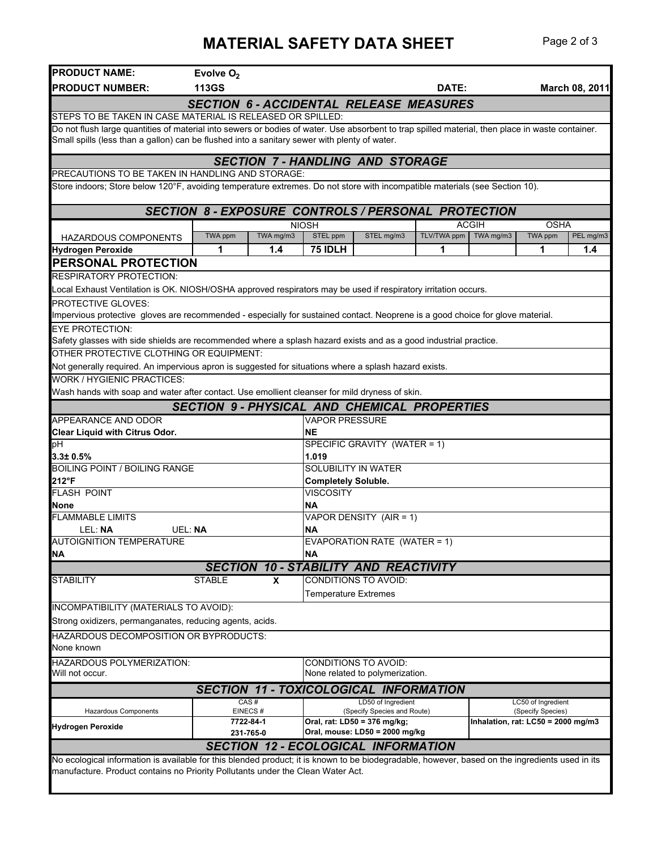## **MATERIAL SAFETY DATA SHEET** Page 2 of 3

| <b>PRODUCT NAME:</b>                                                                                                                             | Evolve $O2$     |           |                                                                            |                                                   |             |              |                                         |                |
|--------------------------------------------------------------------------------------------------------------------------------------------------|-----------------|-----------|----------------------------------------------------------------------------|---------------------------------------------------|-------------|--------------|-----------------------------------------|----------------|
| <b>PRODUCT NUMBER:</b>                                                                                                                           | <b>113GS</b>    |           |                                                                            |                                                   | DATE:       |              |                                         | March 08, 2011 |
|                                                                                                                                                  |                 |           | <b>SECTION 6 - ACCIDENTAL RELEASE MEASURES</b>                             |                                                   |             |              |                                         |                |
| STEPS TO BE TAKEN IN CASE MATERIAL IS RELEASED OR SPILLED:                                                                                       |                 |           |                                                                            |                                                   |             |              |                                         |                |
| Do not flush large quantities of material into sewers or bodies of water. Use absorbent to trap spilled material, then place in waste container. |                 |           |                                                                            |                                                   |             |              |                                         |                |
| Small spills (less than a gallon) can be flushed into a sanitary sewer with plenty of water.                                                     |                 |           |                                                                            |                                                   |             |              |                                         |                |
|                                                                                                                                                  |                 |           | <b>SECTION 7-HANDLING AND STORAGE</b>                                      |                                                   |             |              |                                         |                |
| PRECAUTIONS TO BE TAKEN IN HANDLING AND STORAGE:                                                                                                 |                 |           |                                                                            |                                                   |             |              |                                         |                |
| Store indoors; Store below 120°F, avoiding temperature extremes. Do not store with incompatible materials (see Section 10).                      |                 |           |                                                                            |                                                   |             |              |                                         |                |
|                                                                                                                                                  |                 |           |                                                                            |                                                   |             |              |                                         |                |
|                                                                                                                                                  |                 |           | <b>SECTION 8 - EXPOSURE CONTROLS / PERSONAL PROTECTION</b><br><b>NIOSH</b> |                                                   |             | <b>ACGIH</b> | <b>OSHA</b>                             |                |
| HAZARDOUS COMPONENTS                                                                                                                             | TWA ppm         | TWA mg/m3 | STEL ppm<br>STEL mg/m3                                                     |                                                   | TLV/TWA ppm | TWA mg/m3    | TWA ppm                                 | PEL mg/m3      |
| <b>Hydrogen Peroxide</b>                                                                                                                         | 1               | 1.4       | 75 IDLH                                                                    |                                                   | 1           |              | 1                                       | 1.4            |
| PERSONAL PROTECTION                                                                                                                              |                 |           |                                                                            |                                                   |             |              |                                         |                |
| <b>RESPIRATORY PROTECTION:</b>                                                                                                                   |                 |           |                                                                            |                                                   |             |              |                                         |                |
| Local Exhaust Ventilation is OK. NIOSH/OSHA approved respirators may be used if respiratory irritation occurs.                                   |                 |           |                                                                            |                                                   |             |              |                                         |                |
| <b>PROTECTIVE GLOVES:</b>                                                                                                                        |                 |           |                                                                            |                                                   |             |              |                                         |                |
| Impervious protective gloves are recommended - especially for sustained contact. Neoprene is a good choice for glove material.                   |                 |           |                                                                            |                                                   |             |              |                                         |                |
| <b>EYE PROTECTION:</b>                                                                                                                           |                 |           |                                                                            |                                                   |             |              |                                         |                |
| Safety glasses with side shields are recommended where a splash hazard exists and as a good industrial practice.                                 |                 |           |                                                                            |                                                   |             |              |                                         |                |
| OTHER PROTECTIVE CLOTHING OR EQUIPMENT:                                                                                                          |                 |           |                                                                            |                                                   |             |              |                                         |                |
| Not generally required. An impervious apron is suggested for situations where a splash hazard exists.                                            |                 |           |                                                                            |                                                   |             |              |                                         |                |
| <b>WORK / HYGIENIC PRACTICES:</b>                                                                                                                |                 |           |                                                                            |                                                   |             |              |                                         |                |
| Wash hands with soap and water after contact. Use emollient cleanser for mild dryness of skin.                                                   |                 |           |                                                                            |                                                   |             |              |                                         |                |
|                                                                                                                                                  |                 |           | <b>SECTION 9- PHYSICAL AND CHEMICAL PROPERTIES</b>                         |                                                   |             |              |                                         |                |
| <b>APPEARANCE AND ODOR</b>                                                                                                                       |                 |           | <b>VAPOR PRESSURE</b>                                                      |                                                   |             |              |                                         |                |
| <b>Clear Liquid with Citrus Odor.</b>                                                                                                            |                 |           | <b>NE</b>                                                                  |                                                   |             |              |                                         |                |
| þН                                                                                                                                               |                 |           | SPECIFIC GRAVITY (WATER = 1)                                               |                                                   |             |              |                                         |                |
| 3.3± 0.5%<br><b>BOILING POINT / BOILING RANGE</b>                                                                                                |                 |           | 1.019<br><b>SOLUBILITY IN WATER</b>                                        |                                                   |             |              |                                         |                |
| 212°F                                                                                                                                            |                 |           | <b>Completely Soluble.</b>                                                 |                                                   |             |              |                                         |                |
| <b>FLASH POINT</b>                                                                                                                               |                 |           | <b>VISCOSITY</b>                                                           |                                                   |             |              |                                         |                |
| <b>None</b>                                                                                                                                      |                 |           | <b>NA</b>                                                                  |                                                   |             |              |                                         |                |
| <b>FLAMMABLE LIMITS</b>                                                                                                                          |                 |           | VAPOR DENSITY (AIR = 1)                                                    |                                                   |             |              |                                         |                |
| LEL: NA                                                                                                                                          | UEL: NA         |           | <b>NA</b>                                                                  |                                                   |             |              |                                         |                |
| <b>AUTOIGNITION TEMPERATURE</b>                                                                                                                  |                 |           | EVAPORATION RATE (WATER = 1)                                               |                                                   |             |              |                                         |                |
| <b>NA</b>                                                                                                                                        |                 |           | <b>NA</b>                                                                  |                                                   |             |              |                                         |                |
|                                                                                                                                                  |                 |           | <b>SECTION 10 - STABILITY AND REACTIVITY</b>                               |                                                   |             |              |                                         |                |
| <b>STABILITY</b>                                                                                                                                 | <b>STABLE</b>   | X         | CONDITIONS TO AVOID:                                                       |                                                   |             |              |                                         |                |
|                                                                                                                                                  |                 |           | <b>Temperature Extremes</b>                                                |                                                   |             |              |                                         |                |
| INCOMPATIBILITY (MATERIALS TO AVOID):                                                                                                            |                 |           |                                                                            |                                                   |             |              |                                         |                |
| Strong oxidizers, permanganates, reducing agents, acids.                                                                                         |                 |           |                                                                            |                                                   |             |              |                                         |                |
| <b>HAZARDOUS DECOMPOSITION OR BYPRODUCTS:</b>                                                                                                    |                 |           |                                                                            |                                                   |             |              |                                         |                |
| None known                                                                                                                                       |                 |           |                                                                            |                                                   |             |              |                                         |                |
| HAZARDOUS POLYMERIZATION:                                                                                                                        |                 |           | <b>CONDITIONS TO AVOID:</b>                                                |                                                   |             |              |                                         |                |
| Will not occur.                                                                                                                                  |                 |           | None related to polymerization.                                            |                                                   |             |              |                                         |                |
|                                                                                                                                                  |                 |           | <b>SECTION 11 - TOXICOLOGICAL INFORMATION</b>                              |                                                   |             |              |                                         |                |
| <b>Hazardous Components</b>                                                                                                                      | CAS#<br>EINECS# |           |                                                                            | LD50 of Ingredient<br>(Specify Species and Route) |             |              | LC50 of Ingredient<br>(Specify Species) |                |
|                                                                                                                                                  | 7722-84-1       |           | Oral, rat: LD50 = 376 mg/kg;                                               |                                                   |             |              | Inhalation, rat: $LCS0 = 2000$ mg/m3    |                |
| <b>Hydrogen Peroxide</b>                                                                                                                         | 231-765-0       |           | Oral, mouse: LD50 = 2000 mg/kg                                             |                                                   |             |              |                                         |                |
|                                                                                                                                                  |                 |           | <b>SECTION 12 - ECOLOGICAL INFORMATION</b>                                 |                                                   |             |              |                                         |                |
| No ecological information is available for this blended product; it is known to be biodegradable, however, based on the ingredients used in its  |                 |           |                                                                            |                                                   |             |              |                                         |                |
| manufacture. Product contains no Priority Pollutants under the Clean Water Act.                                                                  |                 |           |                                                                            |                                                   |             |              |                                         |                |
|                                                                                                                                                  |                 |           |                                                                            |                                                   |             |              |                                         |                |